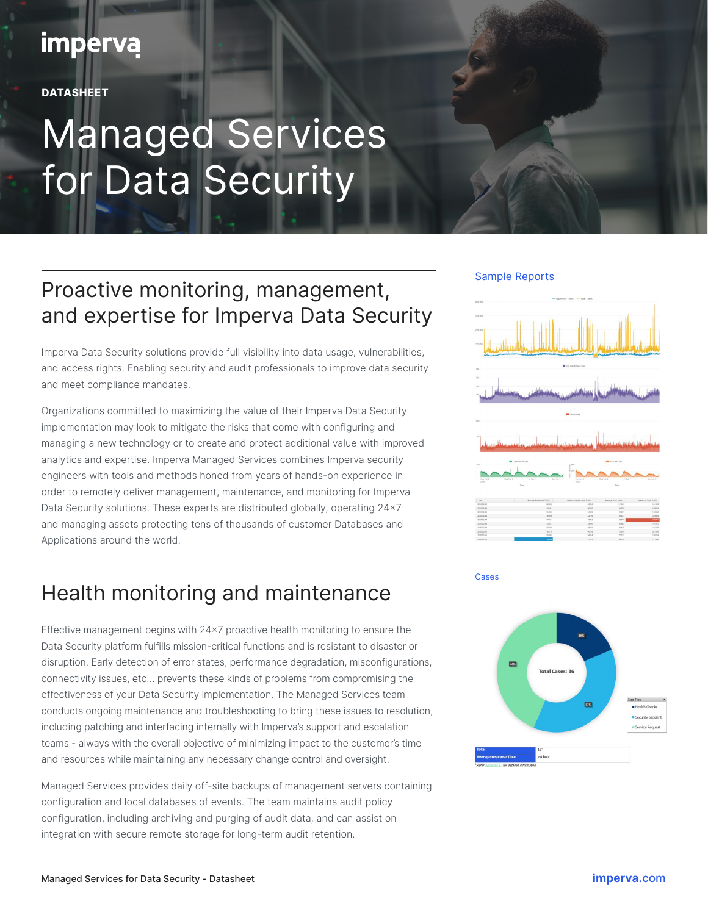## **imperva**

**DATASHEET** 

# Managed Services for Data Security

### Proactive monitoring, management, and expertise for Imperva Data Security

Imperva Data Security solutions provide full visibility into data usage, vulnerabilities, and access rights. Enabling security and audit professionals to improve data security and meet compliance mandates.

Organizations committed to maximizing the value of their Imperva Data Security implementation may look to mitigate the risks that come with configuring and managing a new technology or to create and protect additional value with improved analytics and expertise. Imperva Managed Services combines Imperva security engineers with tools and methods honed from years of hands-on experience in order to remotely deliver management, maintenance, and monitoring for Imperva Data Security solutions. These experts are distributed globally, operating 24x7 and managing assets protecting tens of thousands of customer Databases and Applications around the world.

### Health monitoring and maintenance

Effective management begins with 24x7 proactive health monitoring to ensure the Data Security platform fulfills mission-critical functions and is resistant to disaster or disruption. Early detection of error states, performance degradation, misconfigurations, connectivity issues, etc… prevents these kinds of problems from compromising the effectiveness of your Data Security implementation. The Managed Services team conducts ongoing maintenance and troubleshooting to bring these issues to resolution, including patching and interfacing internally with Imperva's support and escalation teams - always with the overall objective of minimizing impact to the customer's time and resources while maintaining any necessary change control and oversight.

Managed Services provides daily off-site backups of management servers containing configuration and local databases of events. The team maintains audit policy configuration, including archiving and purging of audit data, and can assist on integration with secure remote storage for long-term audit retention.

#### Sample Reports





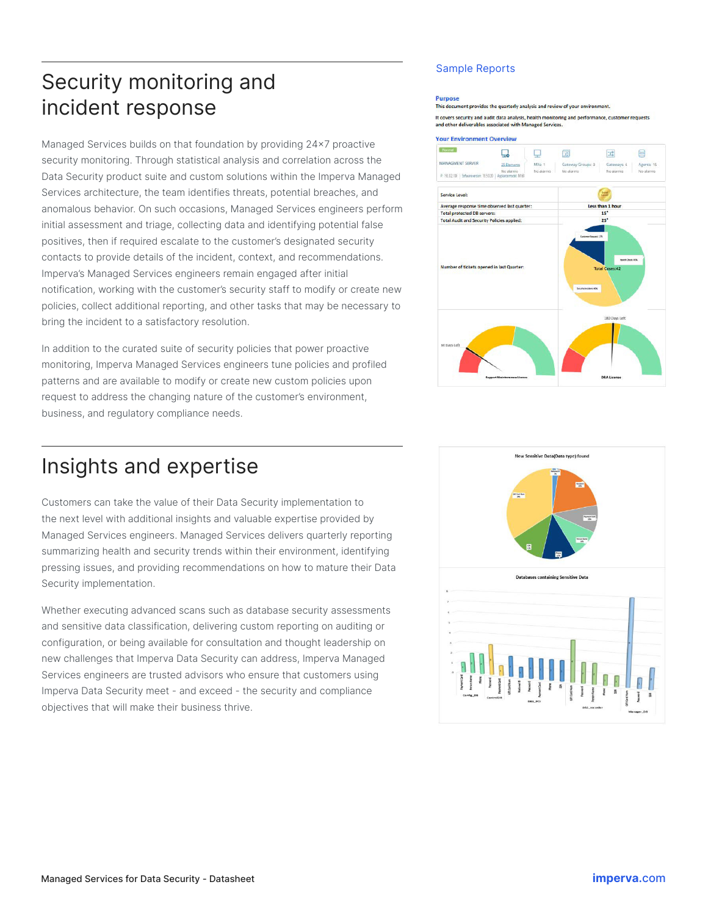### Security monitoring and incident response

Managed Services builds on that foundation by providing 24x7 proactive security monitoring. Through statistical analysis and correlation across the Data Security product suite and custom solutions within the Imperva Managed Services architecture, the team identifies threats, potential breaches, and anomalous behavior. On such occasions, Managed Services engineers perform initial assessment and triage, collecting data and identifying potential false positives, then if required escalate to the customer's designated security contacts to provide details of the incident, context, and recommendations. Imperva's Managed Services engineers remain engaged after initial notification, working with the customer's security staff to modify or create new policies, collect additional reporting, and other tasks that may be necessary to bring the incident to a satisfactory resolution.

In addition to the curated suite of security policies that power proactive monitoring, Imperva Managed Services engineers tune policies and profiled patterns and are available to modify or create new custom policies upon request to address the changing nature of the customer's environment, business, and regulatory compliance needs.

#### Sample Reports

#### **Purpose**

This document pro vides the quarterly analysis and review of your environment It covers security and audit data analysis, health monitoring and performance, customer requests



#### Insights and expertise

Customers can take the value of their Data Security implementation to the next level with additional insights and valuable expertise provided by Managed Services engineers. Managed Services delivers quarterly reporting summarizing health and security trends within their environment, identifying pressing issues, and providing recommendations on how to mature their Data Security implementation.

Whether executing advanced scans such as database security assessments and sensitive data classification, delivering custom reporting on auditing or configuration, or being available for consultation and thought leadership on new challenges that Imperva Data Security can address, Imperva Managed Services engineers are trusted advisors who ensure that customers using Imperva Data Security meet - and exceed - the security and compliance objectives that will make their business thrive.